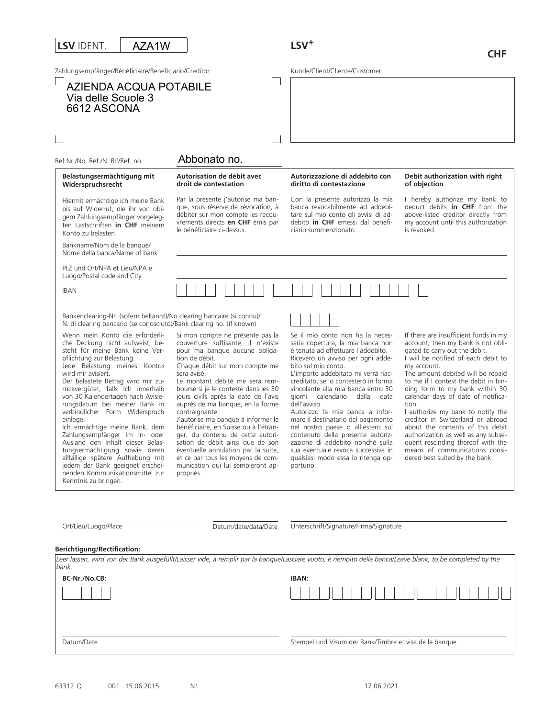# **LSV** IDENT.

AZA1W

Zahlungsempfänger/Bénéficiaire/Beneficiario/Creditor

# AZIENDA ACQUA POTABILE Via delle Scuole 3 6612 ASCONA

# **LSV<sup>+</sup>**

Kunde/Client/Cliente/Customer

# Abbonato no.

#### **Autorisation de débit avec droit de contestation**

Par la présente j'autorise ma banque, sous réserve de révocation, à débiter sur mon compte les recouvrements directs **en CHF** émis par le bénéficiaire ci-dessus. Hiermit ermächtige ich meine Bank bis auf Widerruf, die ihr von obigem Zahlungsempfänger vorgelegten Lastschriften **in CHF** meinem

#### **Autorizzazione di addebito con diritto di contestazione**

Con la presente autorizzo la mia banca revocabilmente ad addebitare sul mio conto gli avvisi di addebito **in CHF** emessi dal beneficiario summenzionato.

#### **Debit authorization with right of objection**

I hereby authorize my bank to deduct debits **in CHF** from the above-listed creditor directly from my account until this authorization is revoked.

Bankname/Nom de la banque/ Nome della banca/Name of bank

PLZ und Ort/NPA et Lieu/NPA e Luogo/Postal code and City

Ref Nr./No. Réf./N. Rif/Ref. no.

Konto zu belasten.

**Belastungsermächtigung mit Widerspruchsrecht** 

IBAN

Bankenclearing-Nr. (sofern bekannt)/No clearing bancaire (si connu)/ N. di clearing bancario (se conosciuto)/Bank clearing no. (if known)

Wenn mein Konto die erforderliche Deckung nicht aufweist, besteht für meine Bank keine Verpflichtung zur Belastung.

Jede Belastung meines Kontos wird mir avisiert.

Der belastete Betrag wird mir zurückvergütet, falls ich innerhalb von 30 Kalendertagen nach Avisierungsdatum bei meiner Bank in verbindlicher Form Widerspruch einlege.

Ich ermächtige meine Bank, dem Zahlungsempfänger im In- oder Ausland den Inhalt dieser Belastungsermächtigung sowie deren allfällige spätere Aufhebung mit jedem der Bank geeignet erscheinenden Kommunikationsmittel zur Kenntnis zu bringen.

Si mon compte ne présente pas la couverture suffisante, il n'existe pour ma banque aucune obligation de débit.

Chaque débit sur mon compte me sera avisé.

Le montant débité me sera remboursé si je le conteste dans les 30 jours civils après la date de l'avis auprès de ma banque, en la forme contraignante.

J'autorise ma banque à informer le bénéficiaire, en Suisse ou à l'étranger, du contenu de cette autorisation de débit ainsi que de son éventuelle annulation par la suite, et ce par tous les moyens de communication qui lui sembleront appropriés.

Se il mio conto non ha la necessaria copertura, la mia banca non è tenuta ad effettuare l'addebito. Riceverò un avviso per ogni addebito sul mio conto.

L'importo addebitato mi verrà riaccreditato, se lo contesterò in forma vincolante alla mia banca entro 30 giorni calendario dalla data dell'avviso.

Autorizzo la mia banca a informare il destinatario del pagamento nel nostro paese o all'estero sul contenuto della presente autorizzazione di addebito nonché sulla sua eventuale revoca successiva in qualsiasi modo essa lo ritenga opportuno.

If there are insufficient funds in my account, then my bank is not obligated to carry out the debit.

I will be notified of each debit to my account.

The amount debited will be repaid to me if I contest the debit in binding form to my bank within 30 calendar days of date of notification.

I authorize my bank to notify the creditor in Switzerland or abroad about the contents of this debit authorization as well as any subsequent rescinding thereof with the means of communications considered best suited by the bank.

| Ort/Lieu/Luogo/Place |
|----------------------|
|----------------------|

Datum/date/data/Date

Unterschrift/Signature/Firma/Signature

#### **Berichtigung/Rectification:**

| Leer lassen, wird von der Bank ausgefüllt/Laisser vide, à remplir par la bangue/Lasciare vuoto, è riempito della banca/Leave blank, to be completed by the<br>bank. |                                                        |
|---------------------------------------------------------------------------------------------------------------------------------------------------------------------|--------------------------------------------------------|
| <b>BC-Nr./No.CB:</b>                                                                                                                                                | <b>IBAN:</b>                                           |
|                                                                                                                                                                     |                                                        |
|                                                                                                                                                                     |                                                        |
| Datum/Date                                                                                                                                                          | Stempel und Visum der Bank/Timbre et visa de la banque |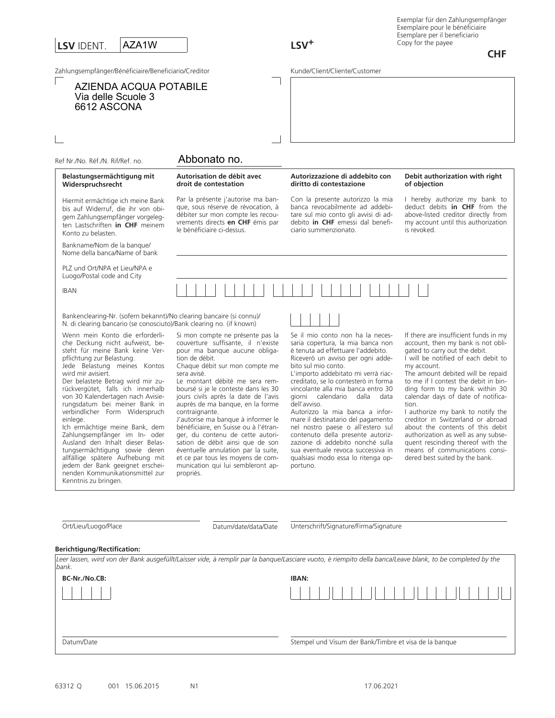# **LSV** IDENT. Zahlungsempfänger/Bénéficiaire/Beneficiario/Creditor **LSV<sup>+</sup>** AZA1W

**CHF**

Kunde/Client/Cliente/Customer

| <b>AZIENDA ACQUA POTABILE</b><br>Via delle Scuole 3<br>6612 ASCONA                                                                                                                                                                                                                                                                                                                                                                                                                                                                                                                                                                                                |                                                                                                                                                                                                                                                                                                                                                                                                                                                                                                                                                                                                                                         |                                                                                                                                                                                                                                                                                                                                                                                                                                                                                                                                                                                                                                |                                                                                                                                                                                                                                                                                                                                                                                                                                                                                                                                                                                                |
|-------------------------------------------------------------------------------------------------------------------------------------------------------------------------------------------------------------------------------------------------------------------------------------------------------------------------------------------------------------------------------------------------------------------------------------------------------------------------------------------------------------------------------------------------------------------------------------------------------------------------------------------------------------------|-----------------------------------------------------------------------------------------------------------------------------------------------------------------------------------------------------------------------------------------------------------------------------------------------------------------------------------------------------------------------------------------------------------------------------------------------------------------------------------------------------------------------------------------------------------------------------------------------------------------------------------------|--------------------------------------------------------------------------------------------------------------------------------------------------------------------------------------------------------------------------------------------------------------------------------------------------------------------------------------------------------------------------------------------------------------------------------------------------------------------------------------------------------------------------------------------------------------------------------------------------------------------------------|------------------------------------------------------------------------------------------------------------------------------------------------------------------------------------------------------------------------------------------------------------------------------------------------------------------------------------------------------------------------------------------------------------------------------------------------------------------------------------------------------------------------------------------------------------------------------------------------|
| Ref Nr./No. Réf./N. Rif/Ref. no.                                                                                                                                                                                                                                                                                                                                                                                                                                                                                                                                                                                                                                  | Abbonato no.                                                                                                                                                                                                                                                                                                                                                                                                                                                                                                                                                                                                                            |                                                                                                                                                                                                                                                                                                                                                                                                                                                                                                                                                                                                                                |                                                                                                                                                                                                                                                                                                                                                                                                                                                                                                                                                                                                |
| Belastungsermächtigung mit<br>Widerspruchsrecht                                                                                                                                                                                                                                                                                                                                                                                                                                                                                                                                                                                                                   | Autorisation de débit avec<br>droit de contestation                                                                                                                                                                                                                                                                                                                                                                                                                                                                                                                                                                                     | Autorizzazione di addebito con<br>diritto di contestazione                                                                                                                                                                                                                                                                                                                                                                                                                                                                                                                                                                     | Debit authorization with right<br>of objection                                                                                                                                                                                                                                                                                                                                                                                                                                                                                                                                                 |
| Hiermit ermächtige ich meine Bank<br>bis auf Widerruf, die ihr von obi-<br>gem Zahlungsempfänger vorgeleg-<br>ten Lastschriften in CHF meinem<br>Konto zu belasten.                                                                                                                                                                                                                                                                                                                                                                                                                                                                                               | Par la présente j'autorise ma ban-<br>que, sous réserve de révocation, à<br>débiter sur mon compte les recou-<br>vrements directs en CHF émis par<br>le bénéficiaire ci-dessus.                                                                                                                                                                                                                                                                                                                                                                                                                                                         | Con la presente autorizzo la mia<br>banca revocabilmente ad addebi-<br>tare sul mio conto gli avvisi di ad-<br>debito in CHF emessi dal benefi-<br>ciario summenzionato.                                                                                                                                                                                                                                                                                                                                                                                                                                                       | I hereby authorize my bank to<br>deduct debits in CHF from the<br>above-listed creditor directly from<br>my account until this authorization<br>is revoked.                                                                                                                                                                                                                                                                                                                                                                                                                                    |
| Bankname/Nom de la banque/<br>Nome della banca/Name of bank                                                                                                                                                                                                                                                                                                                                                                                                                                                                                                                                                                                                       |                                                                                                                                                                                                                                                                                                                                                                                                                                                                                                                                                                                                                                         |                                                                                                                                                                                                                                                                                                                                                                                                                                                                                                                                                                                                                                |                                                                                                                                                                                                                                                                                                                                                                                                                                                                                                                                                                                                |
| PLZ und Ort/NPA et Lieu/NPA e<br>Luogo/Postal code and City                                                                                                                                                                                                                                                                                                                                                                                                                                                                                                                                                                                                       |                                                                                                                                                                                                                                                                                                                                                                                                                                                                                                                                                                                                                                         |                                                                                                                                                                                                                                                                                                                                                                                                                                                                                                                                                                                                                                |                                                                                                                                                                                                                                                                                                                                                                                                                                                                                                                                                                                                |
| <b>IBAN</b>                                                                                                                                                                                                                                                                                                                                                                                                                                                                                                                                                                                                                                                       |                                                                                                                                                                                                                                                                                                                                                                                                                                                                                                                                                                                                                                         |                                                                                                                                                                                                                                                                                                                                                                                                                                                                                                                                                                                                                                |                                                                                                                                                                                                                                                                                                                                                                                                                                                                                                                                                                                                |
| Bankenclearing-Nr. (sofern bekannt)/No clearing bancaire (si connu)/<br>N. di clearing bancario (se conosciuto)/Bank clearing no. (if known)                                                                                                                                                                                                                                                                                                                                                                                                                                                                                                                      |                                                                                                                                                                                                                                                                                                                                                                                                                                                                                                                                                                                                                                         |                                                                                                                                                                                                                                                                                                                                                                                                                                                                                                                                                                                                                                |                                                                                                                                                                                                                                                                                                                                                                                                                                                                                                                                                                                                |
| Wenn mein Konto die erforderli-<br>che Deckung nicht aufweist, be-<br>steht für meine Bank keine Ver-<br>pflichtung zur Belastung.<br>Jede Belastung meines Kontos<br>wird mir avisiert.<br>Der belastete Betrag wird mir zu-<br>rückvergütet, falls ich innerhalb<br>von 30 Kalendertagen nach Avisie-<br>rungsdatum bei meiner Bank in<br>verbindlicher Form Widerspruch<br>einlege.<br>Ich ermächtige meine Bank, dem<br>Zahlungsempfänger im In- oder<br>Ausland den Inhalt dieser Belas-<br>tungsermächtigung sowie deren<br>allfällige spätere Aufhebung mit<br>jedem der Bank geeignet erschei-<br>nenden Kommunikationsmittel zur<br>Kenntnis zu bringen. | Si mon compte ne présente pas la<br>couverture suffisante, il n'existe<br>pour ma banque aucune obliga-<br>tion de débit.<br>Chaque débit sur mon compte me<br>sera avisé.<br>Le montant débité me sera rem-<br>boursé si je le conteste dans les 30<br>jours civils après la date de l'avis<br>auprès de ma banque, en la forme<br>contraignante.<br>J'autorise ma banque à informer le<br>bénéficiaire, en Suisse ou à l'étran-<br>ger, du contenu de cette autori-<br>sation de débit ainsi que de son<br>éventuelle annulation par la suite,<br>et ce par tous les moyens de com-<br>munication qui lui sembleront ap-<br>propriés. | Se il mio conto non ha la neces-<br>saria copertura, la mia banca non<br>è tenuta ad effettuare l'addebito.<br>Riceverò un avviso per ogni adde-<br>bito sul mio conto.<br>L'importo addebitato mi verrà riac-<br>creditato, se lo contesterò in forma<br>vincolante alla mia banca entro 30<br>giorni calendario dalla<br>data<br>dell'avviso.<br>Autorizzo la mia banca a infor-<br>mare il destinatario del pagamento<br>nel nostro paese o all'estero sul<br>contenuto della presente autoriz-<br>zazione di addebito nonché sulla<br>sua eventuale revoca successiva in<br>qualsiasi modo essa lo ritenga op-<br>portuno. | If there are insufficient funds in my<br>account, then my bank is not obli-<br>gated to carry out the debit.<br>I will be notified of each debit to<br>my account.<br>The amount debited will be repaid<br>to me if I contest the debit in bin-<br>ding form to my bank within 30<br>calendar days of date of notifica-<br>tion.<br>I authorize my bank to notify the<br>creditor in Switzerland or abroad<br>about the contents of this debit<br>authorization as well as any subse-<br>quent rescinding thereof with the<br>means of communications consi-<br>dered best suited by the bank. |

#### **Berichtigung/Rectification:**

| bank.         | Leer lassen, wird von der Bank ausgefüllt/Laisser vide, à remplir par la banque/Lasciare vuoto, è riempito della banca/Leave blank, to be completed by the |
|---------------|------------------------------------------------------------------------------------------------------------------------------------------------------------|
| BC-Nr./No.CB: | <b>IBAN:</b>                                                                                                                                               |
|               |                                                                                                                                                            |
| Datum/Date    | Stempel und Visum der Bank/Timbre et visa de la banque                                                                                                     |

Ort/Lieu/Luogo/Place Unterschrift/Signature/Firma/Signature

Datum/date/data/Date